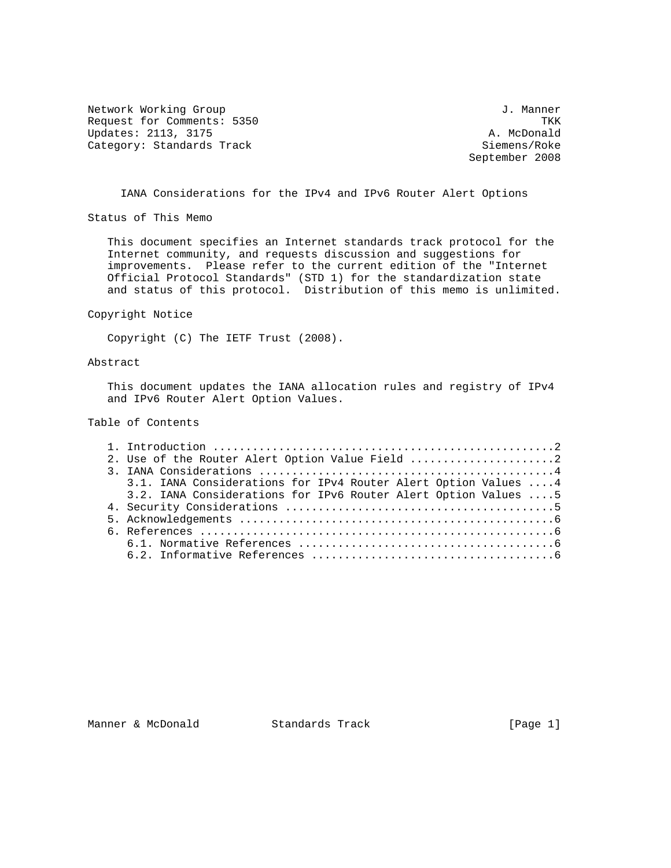Network Working Group 30 and 100 and 100 and 100 and 100 and 100 and 100 and 100 and 100 and 100 and 100 and 1 Request for Comments: 5350 TKK<br>
Updates: 2113, 3175 2001 1200 1200 1300 14. McDonald Updates: 2113, 3175 Category: Standards Track Siemens/Roke Siemens/Roke

September 2008

IANA Considerations for the IPv4 and IPv6 Router Alert Options

Status of This Memo

 This document specifies an Internet standards track protocol for the Internet community, and requests discussion and suggestions for improvements. Please refer to the current edition of the "Internet Official Protocol Standards" (STD 1) for the standardization state and status of this protocol. Distribution of this memo is unlimited.

Copyright Notice

Copyright (C) The IETF Trust (2008).

## Abstract

 This document updates the IANA allocation rules and registry of IPv4 and IPv6 Router Alert Option Values.

Table of Contents

|  | 2. Use of the Router Alert Option Value Field 2                |  |
|--|----------------------------------------------------------------|--|
|  |                                                                |  |
|  | 3.1. IANA Considerations for IPv4 Router Alert Option Values 4 |  |
|  | 3.2. IANA Considerations for IPv6 Router Alert Option Values 5 |  |
|  |                                                                |  |
|  |                                                                |  |
|  |                                                                |  |
|  |                                                                |  |
|  |                                                                |  |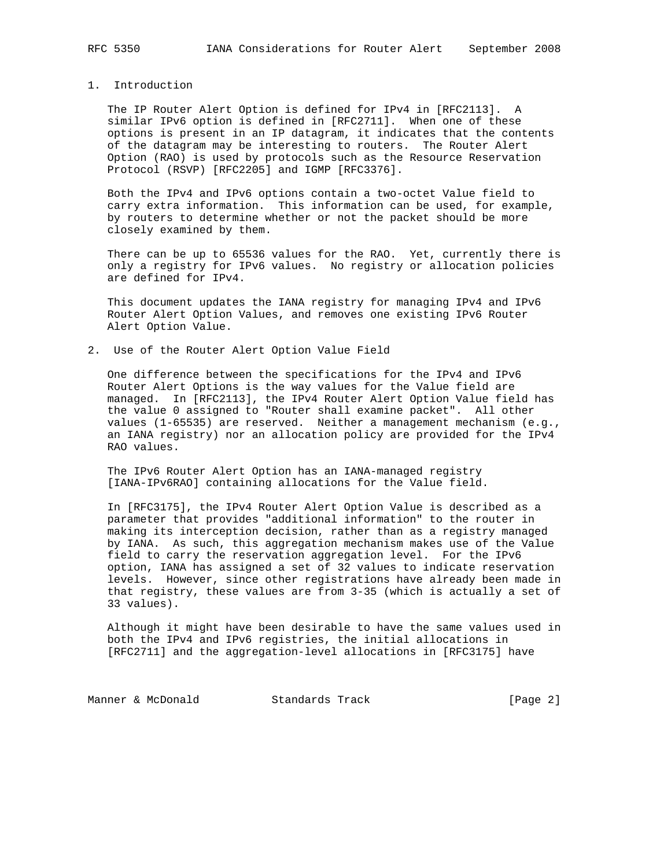## 1. Introduction

 The IP Router Alert Option is defined for IPv4 in [RFC2113]. A similar IPv6 option is defined in [RFC2711]. When one of these options is present in an IP datagram, it indicates that the contents of the datagram may be interesting to routers. The Router Alert Option (RAO) is used by protocols such as the Resource Reservation Protocol (RSVP) [RFC2205] and IGMP [RFC3376].

 Both the IPv4 and IPv6 options contain a two-octet Value field to carry extra information. This information can be used, for example, by routers to determine whether or not the packet should be more closely examined by them.

 There can be up to 65536 values for the RAO. Yet, currently there is only a registry for IPv6 values. No registry or allocation policies are defined for IPv4.

 This document updates the IANA registry for managing IPv4 and IPv6 Router Alert Option Values, and removes one existing IPv6 Router Alert Option Value.

2. Use of the Router Alert Option Value Field

 One difference between the specifications for the IPv4 and IPv6 Router Alert Options is the way values for the Value field are managed. In [RFC2113], the IPv4 Router Alert Option Value field has the value 0 assigned to "Router shall examine packet". All other values (1-65535) are reserved. Neither a management mechanism (e.g., an IANA registry) nor an allocation policy are provided for the IPv4 RAO values.

 The IPv6 Router Alert Option has an IANA-managed registry [IANA-IPv6RAO] containing allocations for the Value field.

 In [RFC3175], the IPv4 Router Alert Option Value is described as a parameter that provides "additional information" to the router in making its interception decision, rather than as a registry managed by IANA. As such, this aggregation mechanism makes use of the Value field to carry the reservation aggregation level. For the IPv6 option, IANA has assigned a set of 32 values to indicate reservation levels. However, since other registrations have already been made in that registry, these values are from 3-35 (which is actually a set of 33 values).

 Although it might have been desirable to have the same values used in both the IPv4 and IPv6 registries, the initial allocations in [RFC2711] and the aggregation-level allocations in [RFC3175] have

Manner & McDonald Standards Track [Page 2]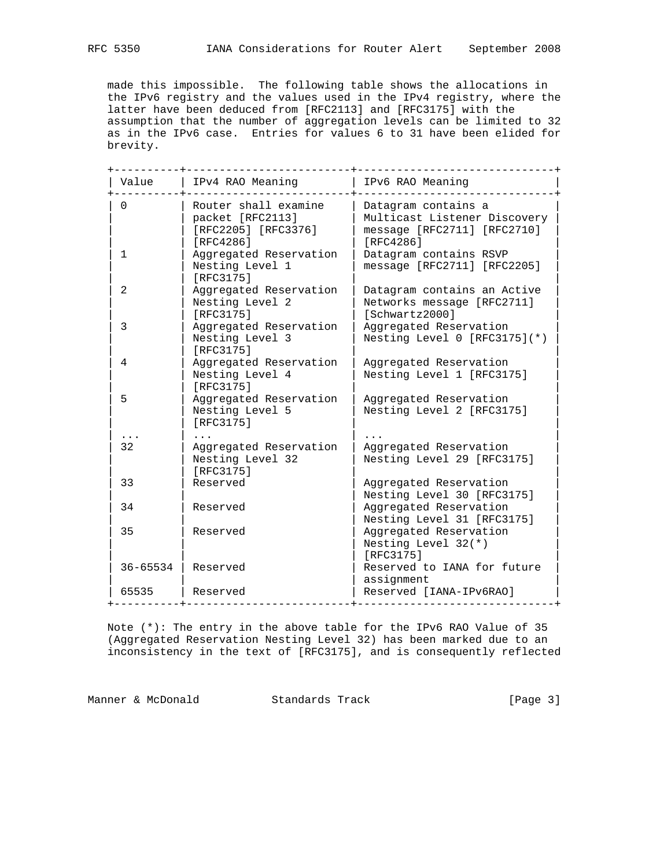made this impossible. The following table shows the allocations in the IPv6 registry and the values used in the IPv4 registry, where the latter have been deduced from [RFC2113] and [RFC3175] with the assumption that the number of aggregation levels can be limited to 32 as in the IPv6 case. Entries for values 6 to 31 have been elided for brevity.

| Value        | IPv4 RAO Meaning                                                             | IPv6 RAO Meaning                                                                                |
|--------------|------------------------------------------------------------------------------|-------------------------------------------------------------------------------------------------|
| $\Omega$     | Router shall examine<br>packet [RFC2113]<br>[RFC2205] [RFC3376]<br>[RFC4286] | Datagram contains a<br>Multicast Listener Discovery<br>message [RFC2711] [RFC2710]<br>[RFC4286] |
| $\mathbf{1}$ | Aggregated Reservation<br>Nesting Level 1<br>[RFC3175]                       | Datagram contains RSVP<br>message [RFC2711] [RFC2205]                                           |
| 2            | Aggregated Reservation<br>Nesting Level 2<br>[RFC3175]                       | Datagram contains an Active<br>Networks message [RFC2711]<br>[Schwartz2000]                     |
| 3            | Aggregated Reservation<br>Nesting Level 3<br>[RFC3175]                       | Aggregated Reservation<br>Nesting Level $0$ [RFC3175] $(*)$                                     |
| 4            | Aggregated Reservation<br>Nesting Level 4<br>[RFC3175]                       | Aggregated Reservation<br>Nesting Level 1 [RFC3175]                                             |
| 5            | Aggregated Reservation<br>Nesting Level 5<br>[RFC3175]                       | Aggregated Reservation<br>Nesting Level 2 [RFC3175]                                             |
|              |                                                                              |                                                                                                 |
| 32           | Aggregated Reservation<br>Nesting Level 32<br>[RFC3175]                      | Aggregated Reservation<br>Nesting Level 29 [RFC3175]                                            |
| 33           | Reserved                                                                     | Aggregated Reservation<br>Nesting Level 30 [RFC3175]                                            |
| 34           | Reserved                                                                     | Aggregated Reservation<br>Nesting Level 31 [RFC3175]                                            |
| 35           | Reserved                                                                     | Aggregated Reservation<br>Nesting Level $32(*)$<br>[RFC3175]                                    |
| 36-65534     | Reserved                                                                     | Reserved to IANA for future<br>assignment                                                       |
| 65535        | Reserved                                                                     | Reserved [IANA-IPv6RAO]                                                                         |

 Note (\*): The entry in the above table for the IPv6 RAO Value of 35 (Aggregated Reservation Nesting Level 32) has been marked due to an inconsistency in the text of [RFC3175], and is consequently reflected

Manner & McDonald Standards Track [Page 3]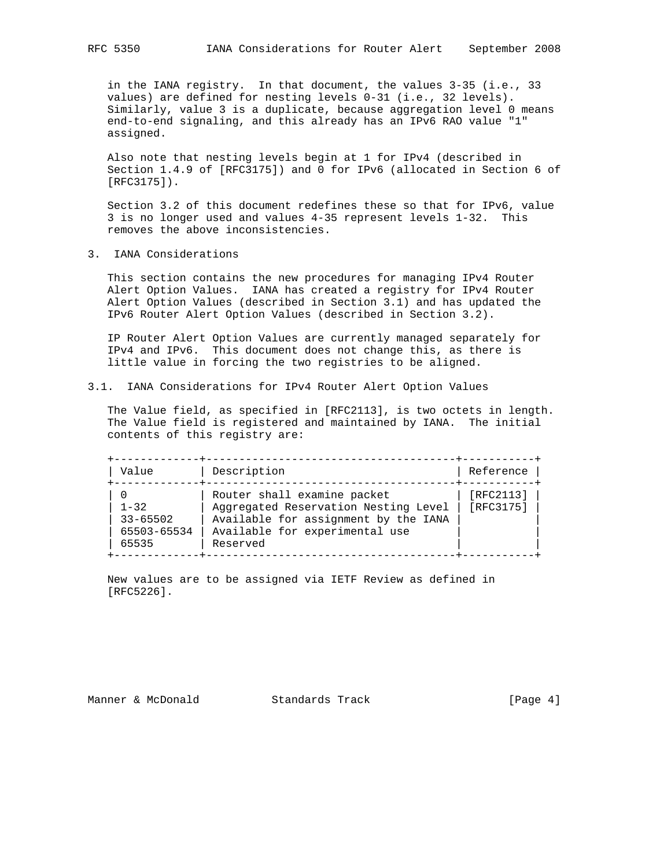in the IANA registry. In that document, the values 3-35 (i.e., 33 values) are defined for nesting levels 0-31 (i.e., 32 levels). Similarly, value 3 is a duplicate, because aggregation level 0 means end-to-end signaling, and this already has an IPv6 RAO value "1" assigned.

 Also note that nesting levels begin at 1 for IPv4 (described in Section 1.4.9 of [RFC3175]) and 0 for IPv6 (allocated in Section 6 of [RFC3175]).

 Section 3.2 of this document redefines these so that for IPv6, value 3 is no longer used and values 4-35 represent levels 1-32. This removes the above inconsistencies.

3. IANA Considerations

 This section contains the new procedures for managing IPv4 Router Alert Option Values. IANA has created a registry for IPv4 Router Alert Option Values (described in Section 3.1) and has updated the IPv6 Router Alert Option Values (described in Section 3.2).

 IP Router Alert Option Values are currently managed separately for IPv4 and IPv6. This document does not change this, as there is little value in forcing the two registries to be aligned.

3.1. IANA Considerations for IPv4 Router Alert Option Values

 The Value field, as specified in [RFC2113], is two octets in length. The Value field is registered and maintained by IANA. The initial contents of this registry are:

| Value                                            | Description                                                                                                                                               | Reference              |
|--------------------------------------------------|-----------------------------------------------------------------------------------------------------------------------------------------------------------|------------------------|
| $1 - 32$<br>$33 - 65502$<br>65503-65534<br>65535 | Router shall examine packet<br>Aggregated Reservation Nesting Level<br>Available for assignment by the IANA<br>Available for experimental use<br>Reserved | [RFC2113]<br>[RFC3175] |

 New values are to be assigned via IETF Review as defined in [RFC5226].

Manner & McDonald Standards Track [Page 4]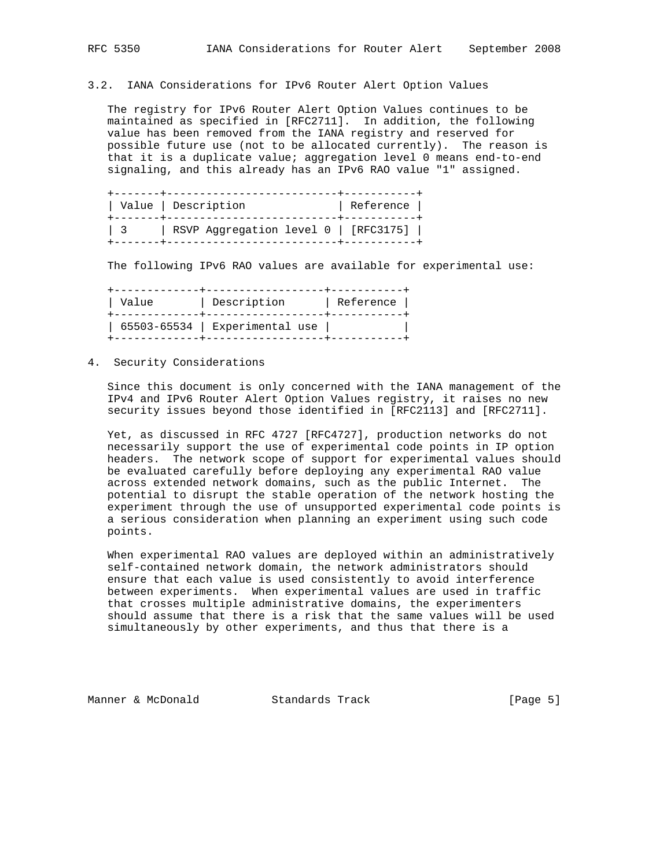## 3.2. IANA Considerations for IPv6 Router Alert Option Values

 The registry for IPv6 Router Alert Option Values continues to be maintained as specified in [RFC2711]. In addition, the following value has been removed from the IANA registry and reserved for possible future use (not to be allocated currently). The reason is that it is a duplicate value; aggregation level 0 means end-to-end signaling, and this already has an IPv6 RAO value "1" assigned.

|         | Value   Description<br>-----4------------------------- | Reference |
|---------|--------------------------------------------------------|-----------|
| $\pm$ 3 | RSVP Aggregation level 0   [RFC3175]                   |           |

The following IPv6 RAO values are available for experimental use:

| Value | Description                        | Reference |
|-------|------------------------------------|-----------|
|       | $65503 - 65534$   Experimental use |           |

## 4. Security Considerations

 Since this document is only concerned with the IANA management of the IPv4 and IPv6 Router Alert Option Values registry, it raises no new security issues beyond those identified in [RFC2113] and [RFC2711].

 Yet, as discussed in RFC 4727 [RFC4727], production networks do not necessarily support the use of experimental code points in IP option headers. The network scope of support for experimental values should be evaluated carefully before deploying any experimental RAO value across extended network domains, such as the public Internet. The potential to disrupt the stable operation of the network hosting the experiment through the use of unsupported experimental code points is a serious consideration when planning an experiment using such code points.

 When experimental RAO values are deployed within an administratively self-contained network domain, the network administrators should ensure that each value is used consistently to avoid interference between experiments. When experimental values are used in traffic that crosses multiple administrative domains, the experimenters should assume that there is a risk that the same values will be used simultaneously by other experiments, and thus that there is a

Manner & McDonald Standards Track [Page 5]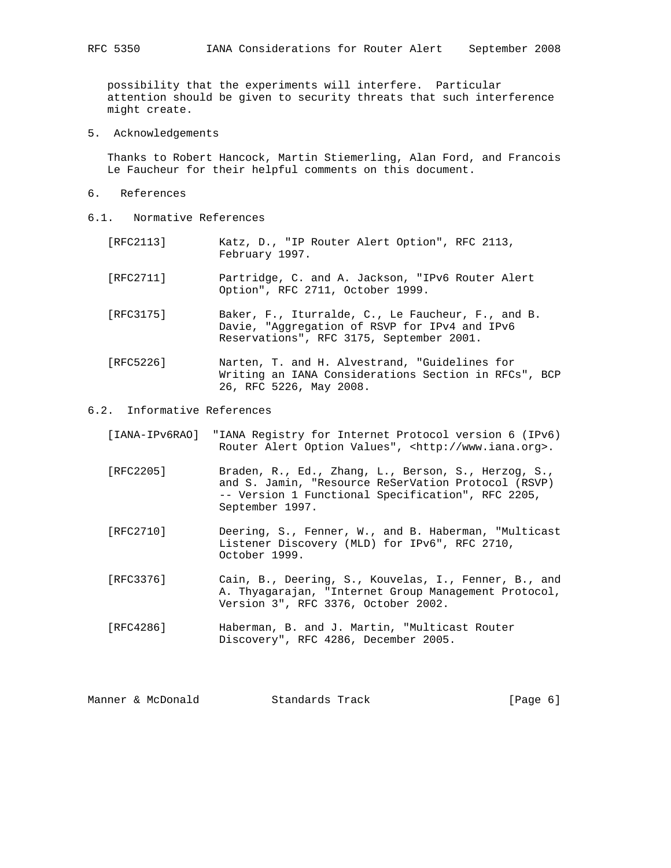possibility that the experiments will interfere. Particular attention should be given to security threats that such interference might create.

5. Acknowledgements

 Thanks to Robert Hancock, Martin Stiemerling, Alan Ford, and Francois Le Faucheur for their helpful comments on this document.

- 6. References
- 6.1. Normative References
	- [RFC2113] Katz, D., "IP Router Alert Option", RFC 2113, February 1997.
	- [RFC2711] Partridge, C. and A. Jackson, "IPv6 Router Alert Option", RFC 2711, October 1999.
	- [RFC3175] Baker, F., Iturralde, C., Le Faucheur, F., and B. Davie, "Aggregation of RSVP for IPv4 and IPv6 Reservations", RFC 3175, September 2001.
	- [RFC5226] Narten, T. and H. Alvestrand, "Guidelines for Writing an IANA Considerations Section in RFCs", BCP 26, RFC 5226, May 2008.

6.2. Informative References

- [IANA-IPv6RAO] "IANA Registry for Internet Protocol version 6 (IPv6) Router Alert Option Values", <http://www.iana.org>.
- [RFC2205] Braden, R., Ed., Zhang, L., Berson, S., Herzog, S., and S. Jamin, "Resource ReSerVation Protocol (RSVP) -- Version 1 Functional Specification", RFC 2205, September 1997.
- [RFC2710] Deering, S., Fenner, W., and B. Haberman, "Multicast Listener Discovery (MLD) for IPv6", RFC 2710, October 1999.
- [RFC3376] Cain, B., Deering, S., Kouvelas, I., Fenner, B., and A. Thyagarajan, "Internet Group Management Protocol, Version 3", RFC 3376, October 2002.
- [RFC4286] Haberman, B. and J. Martin, "Multicast Router Discovery", RFC 4286, December 2005.

| Manner & McDonald<br>Standards Track | [Page 6] |  |  |
|--------------------------------------|----------|--|--|
|--------------------------------------|----------|--|--|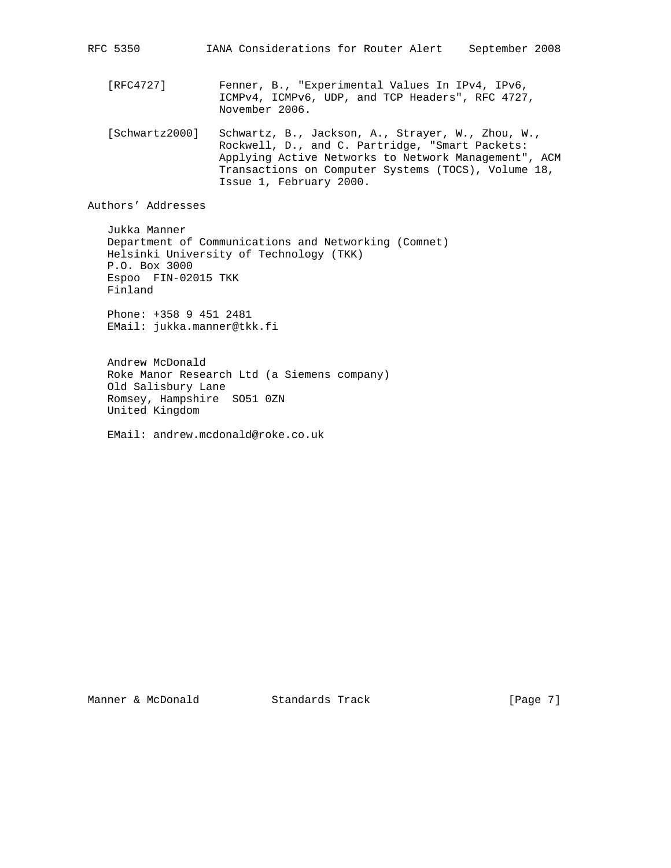RFC 5350 IANA Considerations for Router Alert September 2008

 [RFC4727] Fenner, B., "Experimental Values In IPv4, IPv6, ICMPv4, ICMPv6, UDP, and TCP Headers", RFC 4727, November 2006.

 [Schwartz2000] Schwartz, B., Jackson, A., Strayer, W., Zhou, W., Rockwell, D., and C. Partridge, "Smart Packets: Applying Active Networks to Network Management", ACM Transactions on Computer Systems (TOCS), Volume 18, Issue 1, February 2000.

Authors' Addresses

 Jukka Manner Department of Communications and Networking (Comnet) Helsinki University of Technology (TKK) P.O. Box 3000 Espoo FIN-02015 TKK Finland

 Phone: +358 9 451 2481 EMail: jukka.manner@tkk.fi

 Andrew McDonald Roke Manor Research Ltd (a Siemens company) Old Salisbury Lane Romsey, Hampshire SO51 0ZN United Kingdom

EMail: andrew.mcdonald@roke.co.uk